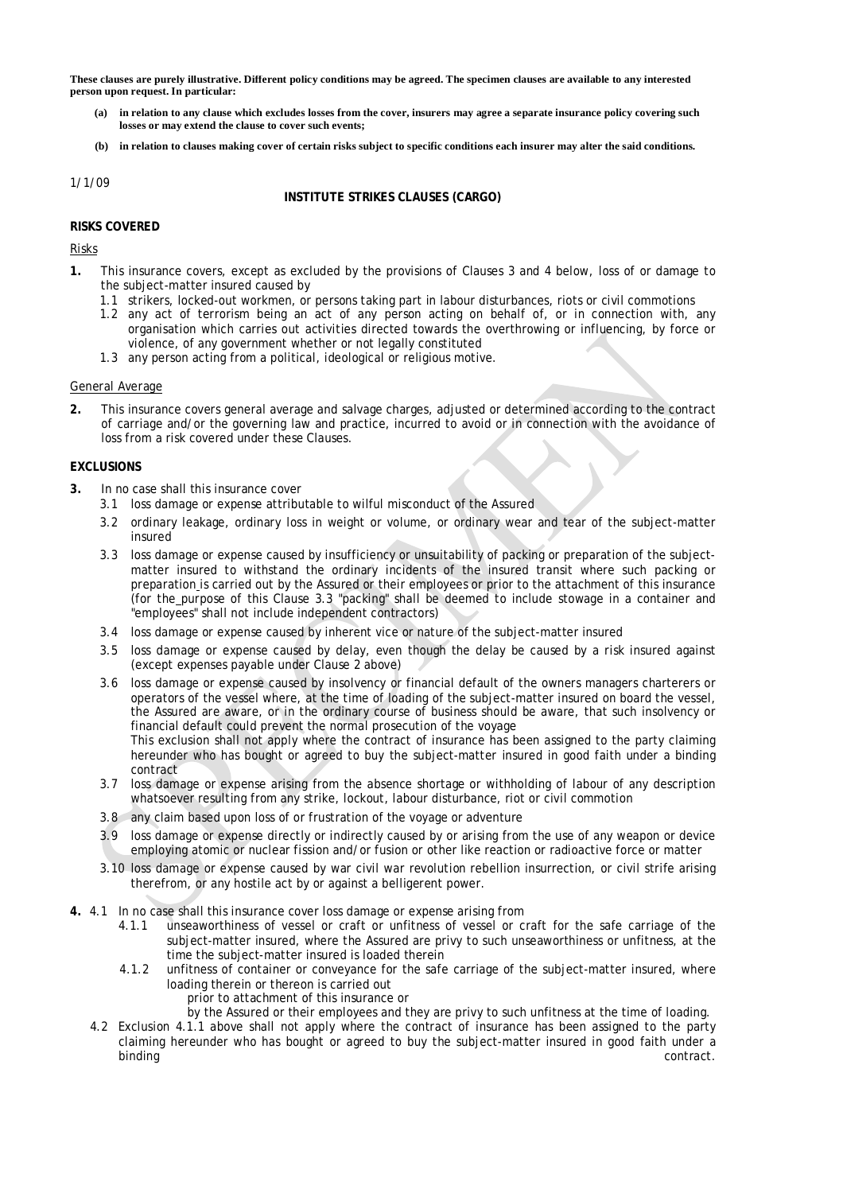These clauses are purely illustrative. Different policy conditions may be agreed. The specimen clauses are available to any interested **person upon request. In particular:** 

- (a) in relation to any clause which excludes losses from the cover, insurers may agree a separate insurance policy covering such **losses or may extend the clause to cover such events;**
- (b) in relation to clauses making cover of certain risks subject to specific conditions each insurer may alter the said conditions.

1/1/09

## **INSTITUTE STRIKES CLAUSES (CARGO)**

### **RISKS COVERED**

Risks

- **1.** This insurance covers, except as excluded by the provisions of Clauses 3 and 4 below, loss of or damage to the subject-matter insured caused by
	- 1.1 strikers, locked-out workmen, or persons taking part in labour disturbances, riots or civil commotions
	- 1.2 any act of terrorism being an act of any person acting on behalf of, or in connection with, any organisation which carries out activities directed towards the overthrowing or influencing, by force or violence, of any government whether or not legally constituted
	- 1.3 any person acting from a political, ideological or religious motive.

### General Average

**2.** This insurance covers general average and salvage charges, adjusted or determined according to the contract of carriage and/or the governing law and practice, incurred to avoid or in connection with the avoidance of loss from a risk covered under these Clauses.

### **EXCLUSIONS**

- **3.** In no case shall this insurance cover
	- 3.1 loss damage or expense attributable to wilful misconduct of the Assured
	- 3.2 ordinary leakage, ordinary loss in weight or volume, or ordinary wear and tear of the subject-matter insured
	- 3.3 loss damage or expense caused by insufficiency or unsuitability of packing or preparation of the subjectmatter insured to withstand the ordinary incidents of the insured transit where such packing or preparation is carried out by the Assured or their employees or prior to the attachment of this insurance (for the purpose of this Clause 3.3 "packing" shall be deemed to include stowage in a container and "employees" shall not include independent contractors)
	- 3.4 loss damage or expense caused by inherent vice or nature of the subject-matter insured
	- 3.5 loss damage or expense caused by delay, even though the delay be caused by a risk insured against (except expenses payable under Clause 2 above)
	- 3.6 loss damage or expense caused by insolvency or financial default of the owners managers charterers or operators of the vessel where, at the time of loading of the subject-matter insured on board the vessel, the Assured are aware, or in the ordinary course of business should be aware, that such insolvency or financial default could prevent the normal prosecution of the voyage This exclusion shall not apply where the contract of insurance has been assigned to the party claiming hereunder who has bought or agreed to buy the subject-matter insured in good faith under a binding contract
	- 3.7 loss damage or expense arising from the absence shortage or withholding of labour of any description whatsoever resulting from any strike, lockout, labour disturbance, riot or civil commotion
	- 3.8 any claim based upon loss of or frustration of the voyage or adventure
	- 3.9 loss damage or expense directly or indirectly caused by or arising from the use of any weapon or device employing atomic or nuclear fission and/or fusion or other like reaction or radioactive force or matter
	- 3.10 loss damage or expense caused by war civil war revolution rebellion insurrection, or civil strife arising therefrom, or any hostile act by or against a belligerent power.
- **4.** 4.1 In no case shall this insurance cover loss damage or expense arising from
	- 4.1.1 unseaworthiness of vessel or craft or unfitness of vessel or craft for the safe carriage of the subject-matter insured, where the Assured are privy to such unseaworthiness or unfitness, at the time the subject-matter insured is loaded therein
	- 4.1.2 unfitness of container or conveyance for the safe carriage of the subject-matter insured, where loading therein or thereon is carried out
		- prior to attachment of this insurance or
		- by the Assured or their employees and they are privy to such unfitness at the time of loading.
	- 4.2 Exclusion 4.1.1 above shall not apply where the contract of insurance has been assigned to the party claiming hereunder who has bought or agreed to buy the subject-matter insured in good faith under a binding contract. The contract of the contract of the contract of the contract of the contract of the contract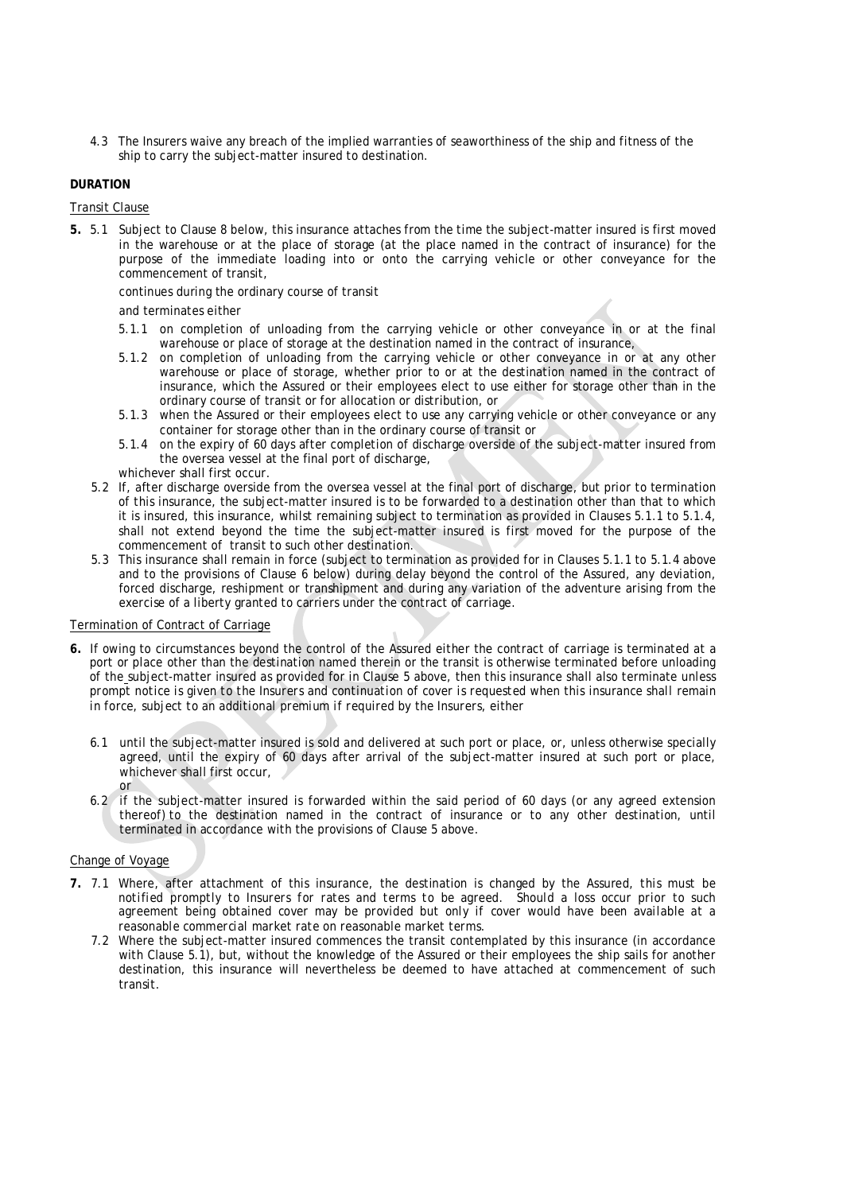4.3 The Insurers waive any breach of the implied warranties of seaworthiness of the ship and fitness of the ship to carry the subject-matter insured to destination.

# **DURATION**

# Transit Clause

**5.** 5.1 Subject to Clause 8 below, this insurance attaches from the time the subject-matter insured is first moved in the warehouse or at the place of storage (at the place named in the contract of insurance) for the purpose of the immediate loading into or onto the carrying vehicle or other conveyance for the commencement of transit,

continues during the ordinary course of transit

## and terminates either

- 5.1.1 on completion of unloading from the carrying vehicle or other conveyance in or at the final warehouse or place of storage at the destination named in the contract of insurance,
- 5.1.2 on completion of unloading from the carrying vehicle or other conveyance in or at any other warehouse or place of storage, whether prior to or at the destination named in the contract of insurance, which the Assured or their employees elect to use either for storage other than in the ordinary course of transit or for allocation or distribution, or
- 5.1.3 when the Assured or their employees elect to use any carrying vehicle or other conveyance or any container for storage other than in the ordinary course of transit or
- 5.1.4 on the expiry of 60 days after completion of discharge overside of the subject-matter insured from the oversea vessel at the final port of discharge,
- whichever shall first occur.
- 5.2 If, after discharge overside from the oversea vessel at the final port of discharge, but prior to termination of this insurance, the subject-matter insured is to be forwarded to a destination other than that to which it is insured, this insurance, whilst remaining subject to termination as provided in Clauses 5.1.1 to 5.1.4, shall not extend beyond the time the subject-matter insured is first moved for the purpose of the commencement of transit to such other destination.
- 5.3 This insurance shall remain in force (subject to termination as provided for in Clauses 5.1.1 to 5.1.4 above and to the provisions of Clause 6 below) during delay beyond the control of the Assured, any deviation, forced discharge, reshipment or transhipment and during any variation of the adventure arising from the exercise of a liberty granted to carriers under the contract of carriage.

### Termination of Contract of Carriage

- **6.** If owing to circumstances beyond the control of the Assured either the contract of carriage is terminated at a port or place other than the destination named therein or the transit is otherwise terminated before unloading of the subject-matter insured as provided for in Clause 5 above, then this insurance shall also terminate *unless*  prompt notice is given to the Insurers and continuation of cover is requested when this insurance shall remain *in force, subject to an additional premium if required by the Insurers*, either
	- 6.1 until the subject-matter insured is sold and delivered at such port or place, or, unless otherwise specially agreed, until the expiry of 60 days after arrival of the subject-matter insured at such port or place, whichever shall first occur, or
	- 6.2 if the subject-matter insured is forwarded within the said period of 60 days (or any agreed extension thereof) to the destination named in the contract of insurance or to any other destination, until terminated in accordance with the provisions of Clause 5 above.

# Change of Voyage

- **7.** 7.1 Where, after attachment of this insurance, the destination is changed by the Assured, *this must be notified promptly to Insurers for rates and terms to be agreed. Should a loss occur prior to such agreement being obtained cover may be provided but only if cover would have been available at a reasonable commercial market rate on reasonable market terms.* 
	- 7.2 Where the subject-matter insured commences the transit contemplated by this insurance (in accordance with Clause 5.1), but, without the knowledge of the Assured or their employees the ship sails for another destination, this insurance will nevertheless be deemed to have attached at commencement of such transit.